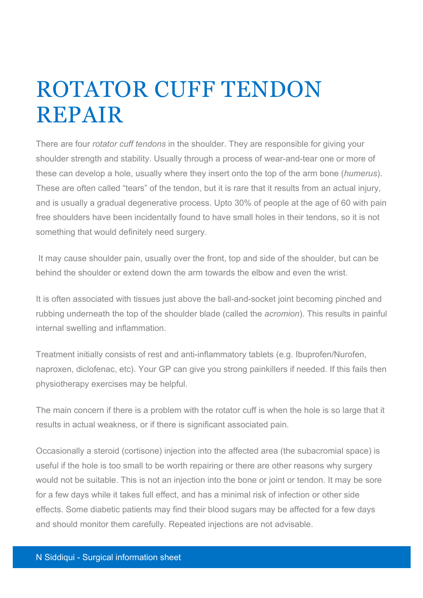## ROTATOR CUFF TENDON REPAIR

There are four *rotator cuff tendons* in the shoulder. They are responsible for giving your shoulder strength and stability. Usually through a process of wear-and-tear one or more of these can develop a hole, usually where they insert onto the top of the arm bone (*humerus*). These are often called "tears" of the tendon, but it is rare that it results from an actual injury, and is usually a gradual degenerative process. Upto 30% of people at the age of 60 with pain free shoulders have been incidentally found to have small holes in their tendons, so it is not something that would definitely need surgery.

It may cause shoulder pain, usually over the front, top and side of the shoulder, but can be behind the shoulder or extend down the arm towards the elbow and even the wrist.

It is often associated with tissues just above the ball-and-socket joint becoming pinched and rubbing underneath the top of the shoulder blade (called the *acromion*). This results in painful internal swelling and inflammation.

Treatment initially consists of rest and anti-inflammatory tablets (e.g. Ibuprofen/Nurofen, naproxen, diclofenac, etc). Your GP can give you strong painkillers if needed. If this fails then physiotherapy exercises may be helpful.

The main concern if there is a problem with the rotator cuff is when the hole is so large that it results in actual weakness, or if there is significant associated pain.

Occasionally a steroid (cortisone) injection into the affected area (the subacromial space) is useful if the hole is too small to be worth repairing or there are other reasons why surgery would not be suitable. This is not an injection into the bone or joint or tendon. It may be sore for a few days while it takes full effect, and has a minimal risk of infection or other side effects. Some diabetic patients may find their blood sugars may be affected for a few days and should monitor them carefully. Repeated injections are not advisable.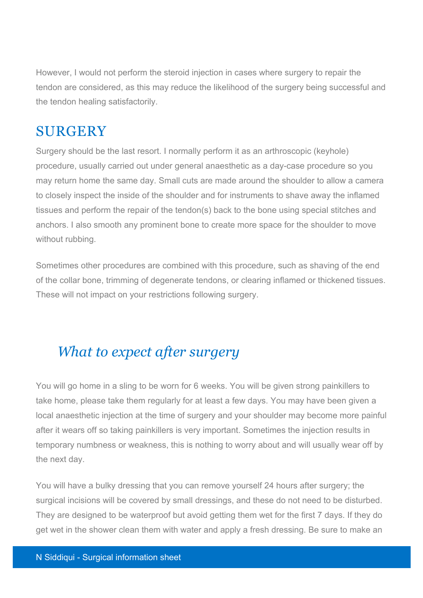However, I would not perform the steroid injection in cases where surgery to repair the tendon are considered, as this may reduce the likelihood of the surgery being successful and the tendon healing satisfactorily.

## **SURGERY**

Surgery should be the last resort. I normally perform it as an arthroscopic (keyhole) procedure, usually carried out under general anaesthetic as a day-case procedure so you may return home the same day. Small cuts are made around the shoulder to allow a camera to closely inspect the inside of the shoulder and for instruments to shave away the inflamed tissues and perform the repair of the tendon(s) back to the bone using special stitches and anchors. I also smooth any prominent bone to create more space for the shoulder to move without rubbing.

Sometimes other procedures are combined with this procedure, such as shaving of the end of the collar bone, trimming of degenerate tendons, or clearing inflamed or thickened tissues. These will not impact on your restrictions following surgery.

## *What to expect after surgery*

You will go home in a sling to be worn for 6 weeks. You will be given strong painkillers to take home, please take them regularly for at least a few days. You may have been given a local anaesthetic injection at the time of surgery and your shoulder may become more painful after it wears off so taking painkillers is very important. Sometimes the injection results in temporary numbness or weakness, this is nothing to worry about and will usually wear off by the next day.

You will have a bulky dressing that you can remove yourself 24 hours after surgery; the surgical incisions will be covered by small dressings, and these do not need to be disturbed. They are designed to be waterproof but avoid getting them wet for the first 7 days. If they do get wet in the shower clean them with water and apply a fresh dressing. Be sure to make an